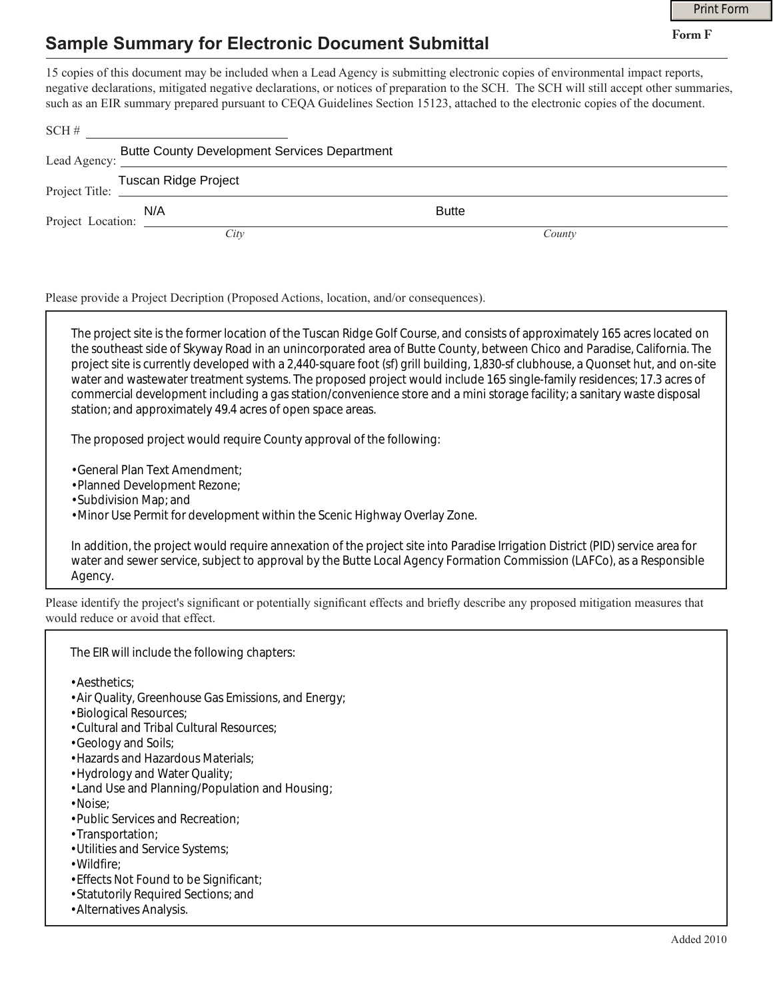## **Sample Summary for Electronic Document Submittal**

|                                                                     |                                                                                                                                                                                                                                                                                                                                                                                                             | <b>Print Form</b> |  |
|---------------------------------------------------------------------|-------------------------------------------------------------------------------------------------------------------------------------------------------------------------------------------------------------------------------------------------------------------------------------------------------------------------------------------------------------------------------------------------------------|-------------------|--|
| <b>Sample Summary for Electronic Document Submittal</b>             | Form F                                                                                                                                                                                                                                                                                                                                                                                                      |                   |  |
| SCH#                                                                | 15 copies of this document may be included when a Lead Agency is submitting electronic copies of environmental impact reports,<br>negative declarations, mitigated negative declarations, or notices of preparation to the SCH. The SCH will still accept other summaries,<br>such as an EIR summary prepared pursuant to CEQA Guidelines Section 15123, attached to the electronic copies of the document. |                   |  |
| <b>Butte County Development Services Department</b><br>Lead Agency: |                                                                                                                                                                                                                                                                                                                                                                                                             |                   |  |
| Tuscan Ridge Project<br>Project Title:                              |                                                                                                                                                                                                                                                                                                                                                                                                             |                   |  |
| N/A<br>Project Location: $\frac{N/A}{N}$                            | <b>Butte</b>                                                                                                                                                                                                                                                                                                                                                                                                |                   |  |
| City                                                                | County                                                                                                                                                                                                                                                                                                                                                                                                      |                   |  |

Please provide a Project Decription (Proposed Actions, location, and/or consequences).

The project site is the former location of the Tuscan Ridge Golf Course, and consists of approximately 165 acres located on the southeast side of Skyway Road in an unincorporated area of Butte County, between Chico and Paradise, California. The project site is currently developed with a 2,440-square foot (sf) grill building, 1,830-sf clubhouse, a Quonset hut, and on-site water and wastewater treatment systems. The proposed project would include 165 single-family residences; 17.3 acres of commercial development including a gas station/convenience store and a mini storage facility; a sanitary waste disposal station; and approximately 49.4 acres of open space areas.

The proposed project would require County approval of the following:

• General Plan Text Amendment;

- Planned Development Rezone;
- Subdivision Map; and

• Minor Use Permit for development within the Scenic Highway Overlay Zone.

In addition, the project would require annexation of the project site into Paradise Irrigation District (PID) service area for water and sewer service, subject to approval by the Butte Local Agency Formation Commission (LAFCo), as a Responsible Agency.

Please identify the project's significant or potentially significant effects and briefly describe any proposed mitigation measures that would reduce or avoid that effect.

The EIR will include the following chapters:

• Aesthetics;

- Air Quality, Greenhouse Gas Emissions, and Energy;
- Biological Resources;
- Cultural and Tribal Cultural Resources;
- Geology and Soils;
- Hazards and Hazardous Materials;
- Hydrology and Water Quality;
- Land Use and Planning/Population and Housing;
- Noise;
- Public Services and Recreation;
- Transportation;
- Utilities and Service Systems;
- Wildfire;
- Effects Not Found to be Significant;
- Statutorily Required Sections; and
- Alternatives Analysis.